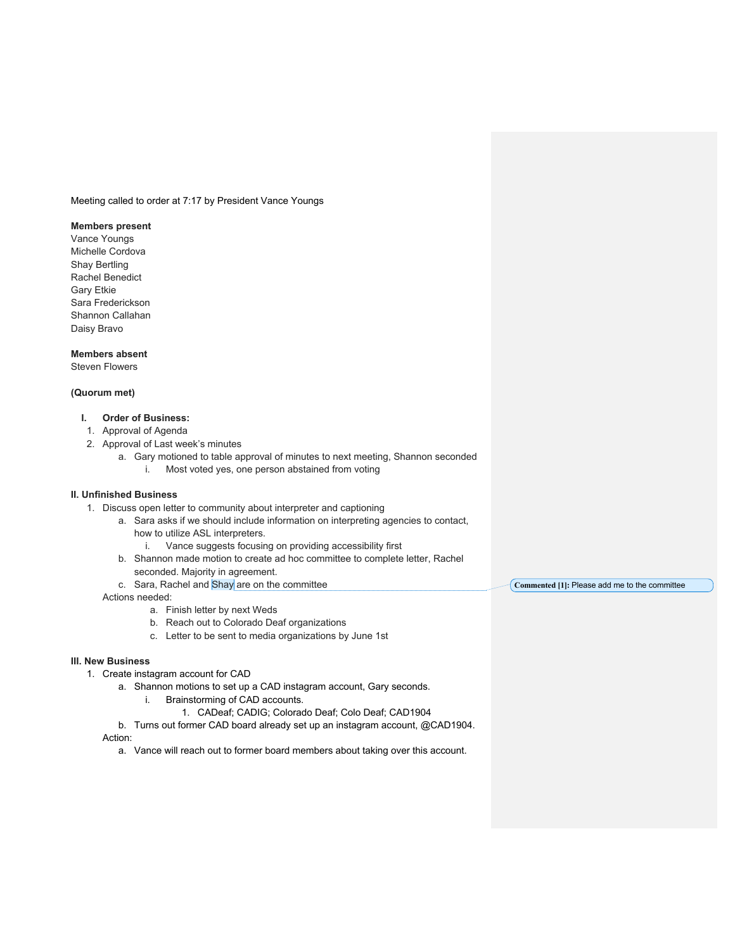Meeting called to order at 7:17 by President Vance Youngs

## **Members present**

Vance Youngs Michelle Cordova Shay Bertling Rachel Benedict Gary Etkie Sara Frederickson Shannon Callahan Daisy Bravo

#### **Members absent**

Steven Flowers

#### **(Quorum met)**

## **I. Order of Business:**

- 1. Approval of Agenda
- 2. Approval of Last week's minutes
	- a. Gary motioned to table approval of minutes to next meeting, Shannon seconded
		- i. Most voted yes, one person abstained from voting

# **II. Unfinished Business**

- 1. Discuss open letter to community about interpreter and captioning
	- a. Sara asks if we should include information on interpreting agencies to contact,
		- how to utilize ASL interpreters.
			- i. Vance suggests focusing on providing accessibility first
	- b. Shannon made motion to create ad hoc committee to complete letter, Rachel seconded. Majority in agreement.
	- c. Sara, Rachel and Shay are on the committee Actions needed: **Commented [1]:** Please add me to the committee
		- a. Finish letter by next Weds
		- b. Reach out to Colorado Deaf organizations
		- c. Letter to be sent to media organizations by June 1st

### **III. New Business**

- 1. Create instagram account for CAD
	- a. Shannon motions to set up a CAD instagram account, Gary seconds.
		- i. Brainstorming of CAD accounts.
			- 1. CADeaf; CADIG; Colorado Deaf; Colo Deaf; CAD1904
	- b. Turns out former CAD board already set up an instagram account, @CAD1904. Action:
		- a. Vance will reach out to former board members about taking over this account.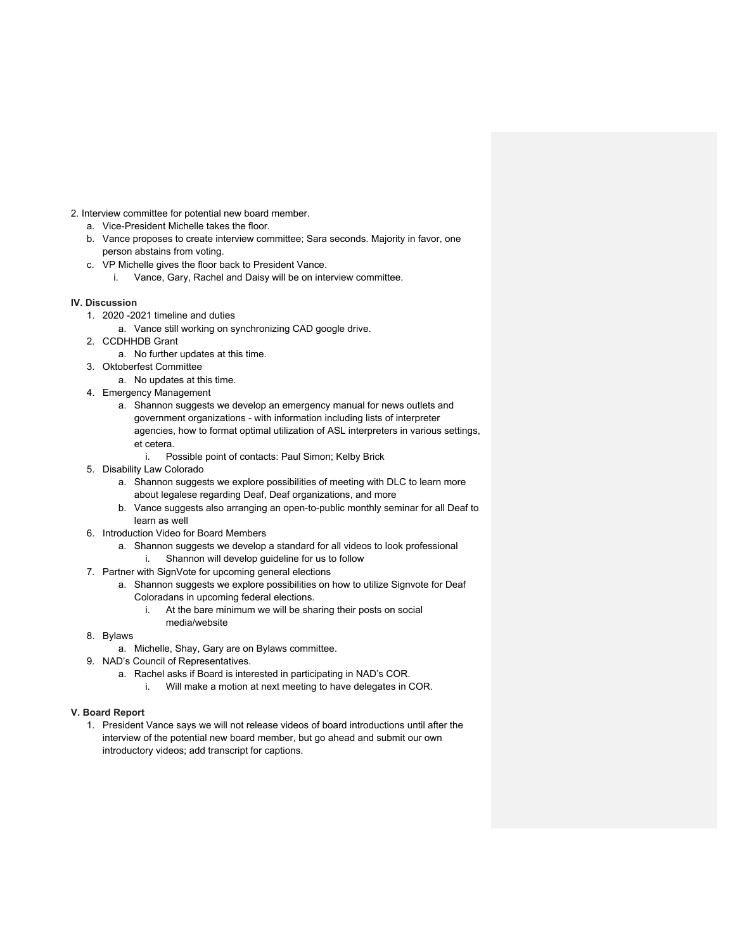2. Interview committee for potential new board member.

- a. Vice-President Michelle takes the floor.
- b. Vance proposes to create interview committee; Sara seconds. Majority in favor, one person abstains from voting.
- c. VP Michelle gives the floor back to President Vance.
	- i. Vance, Gary, Rachel and Daisy will be on interview committee.

## **IV. Discussion**

- 1. 2020 -2021 timeline and duties
	- a. Vance still working on synchronizing CAD google drive.
- 2. CCDHHDB Grant
	- a. No further updates at this time.
- 3. Oktoberfest Committee
	- a. No updates at this time.
- 4. Emergency Management
	- a. Shannon suggests we develop an emergency manual for news outlets and government organizations - with information including lists of interpreter agencies, how to format optimal utilization of ASL interpreters in various settings, et cetera.
		- i. Possible point of contacts: Paul Simon; Kelby Brick
- 5. Disability Law Colorado
	- a. Shannon suggests we explore possibilities of meeting with DLC to learn more about legalese regarding Deaf, Deaf organizations, and more
	- b. Vance suggests also arranging an open-to-public monthly seminar for all Deaf to learn as well
- 6. Introduction Video for Board Members
	- a. Shannon suggests we develop a standard for all videos to look professional
		- i. Shannon will develop guideline for us to follow
- 7. Partner with SignVote for upcoming general elections
	- a. Shannon suggests we explore possibilities on how to utilize Signvote for Deaf Coloradans in upcoming federal elections.
		- i. At the bare minimum we will be sharing their posts on social media/website
- 8. Bylaws
	- a. Michelle, Shay, Gary are on Bylaws committee.
- 9. NAD's Council of Representatives.
	- a. Rachel asks if Board is interested in participating in NAD's COR.
		- i. Will make a motion at next meeting to have delegates in COR.

# **V. Board Report**

1. President Vance says we will not release videos of board introductions until after the interview of the potential new board member, but go ahead and submit our own introductory videos; add transcript for captions.